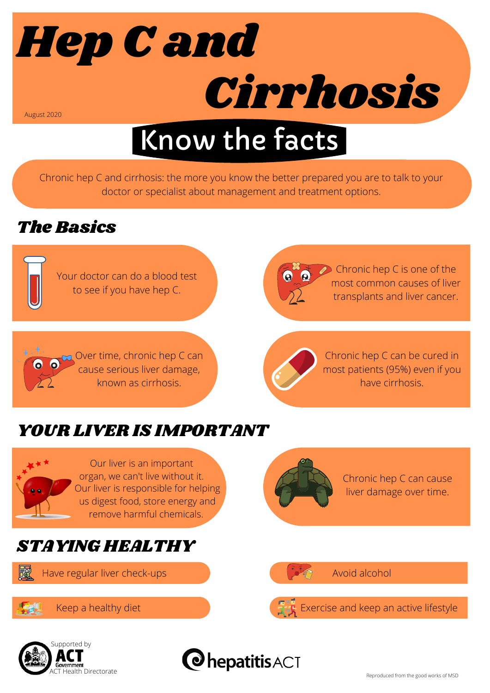

# Know the facts

Chronic hep C and cirrhosis: the more you know the better prepared you are to talk to your doctor or specialist about management and treatment options.

#### The Basics



Chronic hep C is one of the most common causes of liver transplants and liver cancer.

Over time, chronic hep C can cause serious liver damage, known as cirrhosis.



Chronic hep C can be cured in most patients (95%) even if you have cirrhosis.

## YOUR LIVER IS IMPORTANT



**Fal** 

**O** 0

Our liver is an important organ, we can't live without it. Our liver is responsible for helping us digest food, store energy and remove harmful chemicals.

### STAYING HEALTHY

Have regular liver check-ups Avoid alcohol





Chronic hep C can cause liver damage over time.

Keep a healthy diet Exercise and keep an active lifestyle